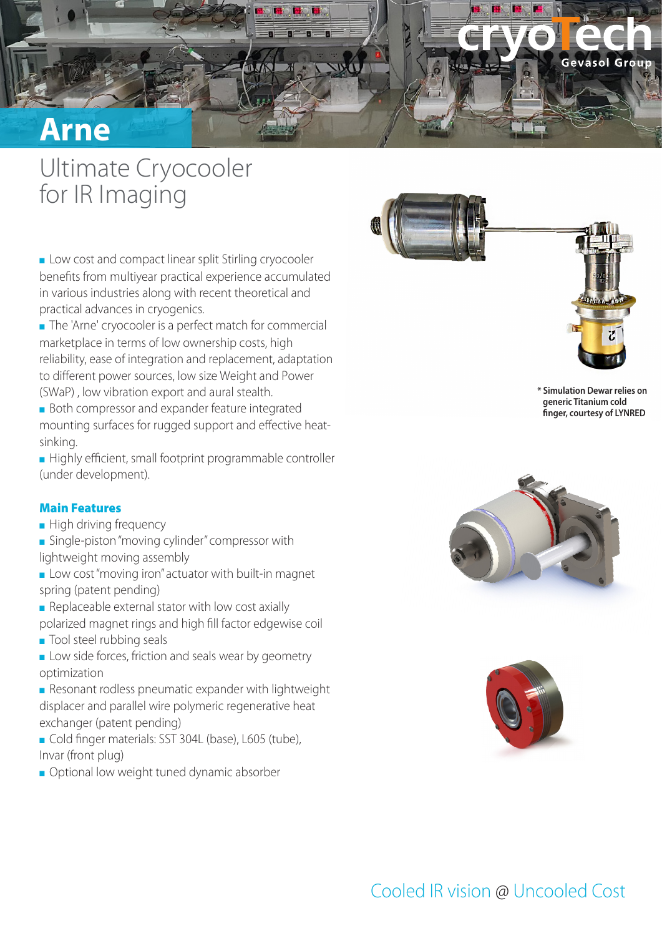

## Ultimate Cryocooler for IR Imaging

■ Low cost and compact linear split Stirling cryocooler benefits from multiyear practical experience accumulated in various industries along with recent theoretical and practical advances in cryogenics.

■ The 'Arne' cryocooler is a perfect match for commercial marketplace in terms of low ownership costs, high reliability, ease of integration and replacement, adaptation to different power sources, low size Weight and Power (SWaP) , low vibration export and aural stealth.

■ Both compressor and expander feature integrated mounting surfaces for rugged support and effective heatsinking.

■ Highly efficient, small footprint programmable controller (under development).

#### Main Features

- High driving frequency
- Single-piston "moving cylinder" compressor with lightweight moving assembly
- Low cost "moving iron" actuator with built-in magnet spring (patent pending)
- $\blacksquare$  Replaceable external stator with low cost axially polarized magnet rings and high fill factor edgewise coil
- Tool steel rubbing seals
- **EXECT:** Low side forces, friction and seals wear by geometry optimization

■ Resonant rodless pneumatic expander with lightweight displacer and parallel wire polymeric regenerative heat exchanger (patent pending)

- Cold finger materials: SST 304L (base), L605 (tube), Invar (front plug)
- Optional low weight tuned dynamic absorber





**\* Simulation Dewar relies on generic Titanium cold finger, courtesy of LYNRED**